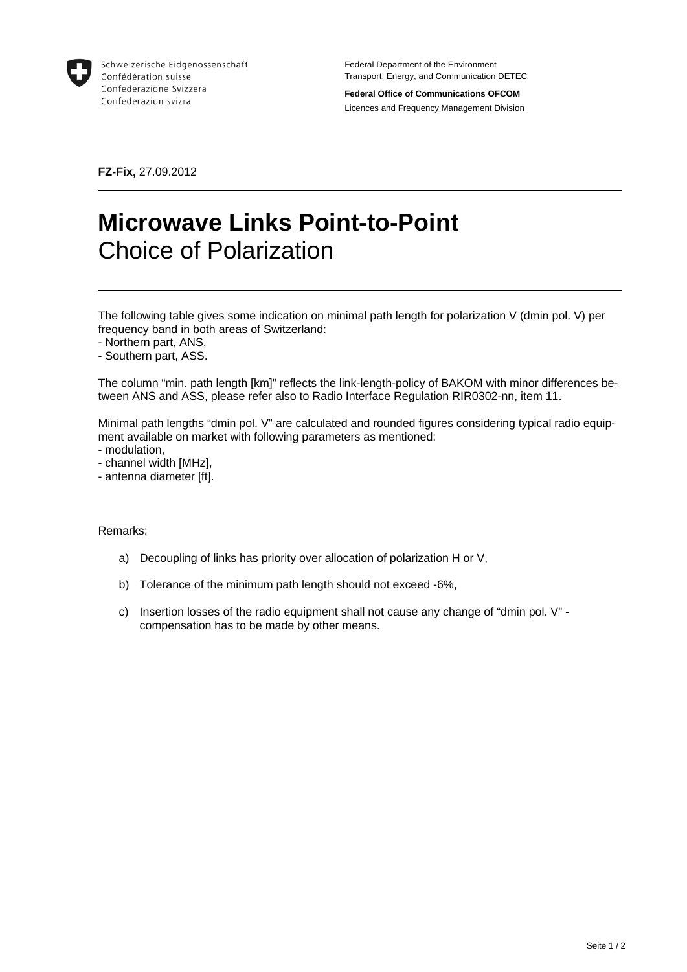

Schweizerische Eidgenossenschaft Confédération suisse Confederazione Svizzera Confederaziun svizra

Federal Department of the Environment Transport, Energy, and Communication DETEC

**Federal Office of Communications OFCOM**  Licences and Frequency Management Division

**FZ-Fix,** 27.09.2012

## **Microwave Links Point-to-Point**  Choice of Polarization

The following table gives some indication on minimal path length for polarization V (dmin pol. V) per frequency band in both areas of Switzerland:

- Northern part, ANS,
- Southern part, ASS.

The column "min. path length [km]" reflects the link-length-policy of BAKOM with minor differences between ANS and ASS, please refer also to Radio Interface Regulation RIR0302-nn, item 11.

Minimal path lengths "dmin pol. V" are calculated and rounded figures considering typical radio equipment available on market with following parameters as mentioned:

- modulation,
- channel width [MHz],
- antenna diameter [ft].

Remarks:

- a) Decoupling of links has priority over allocation of polarization H or V,
- b) Tolerance of the minimum path length should not exceed -6%,
- c) Insertion losses of the radio equipment shall not cause any change of "dmin pol. V" compensation has to be made by other means.